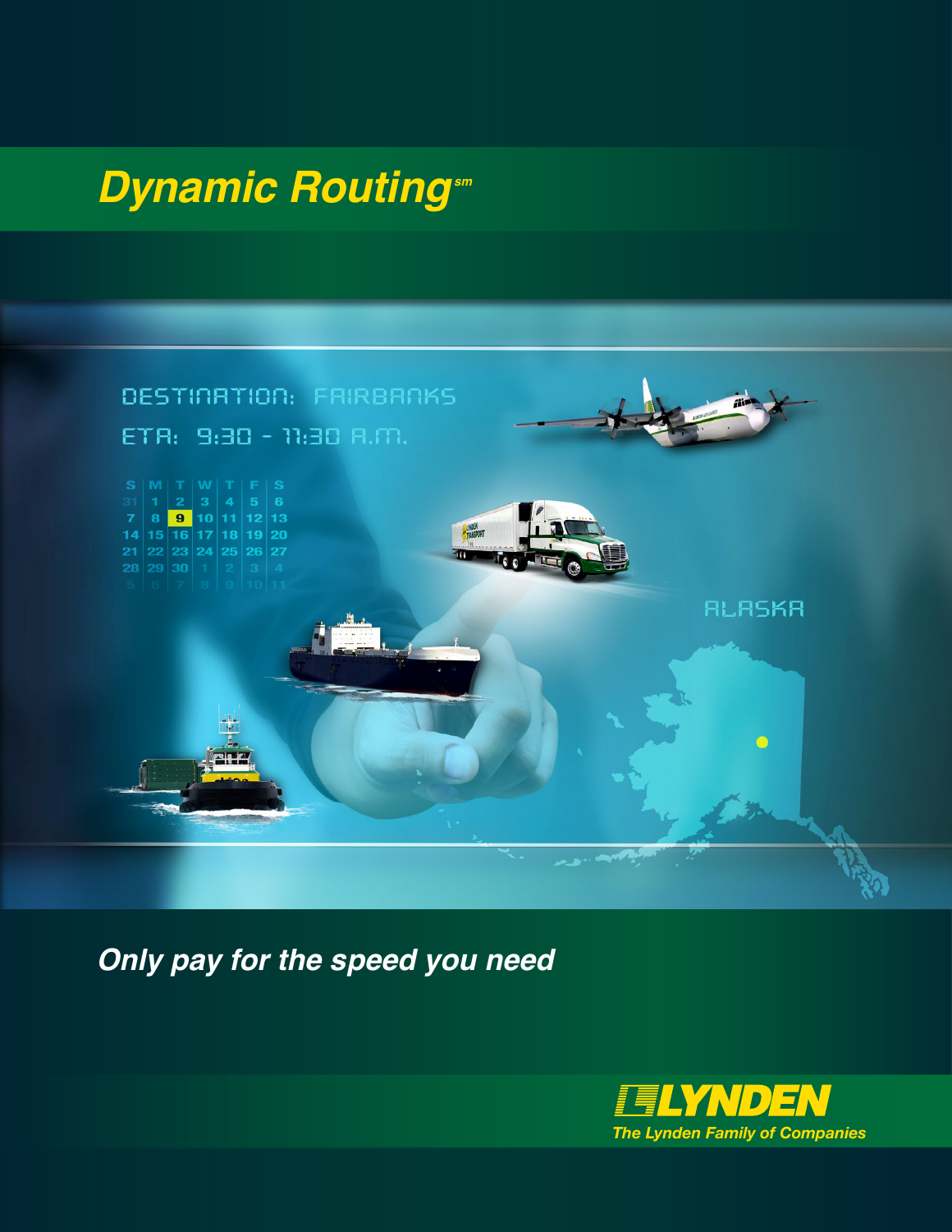## *Dynamic Routing sm*



*Only pay for the speed you need*